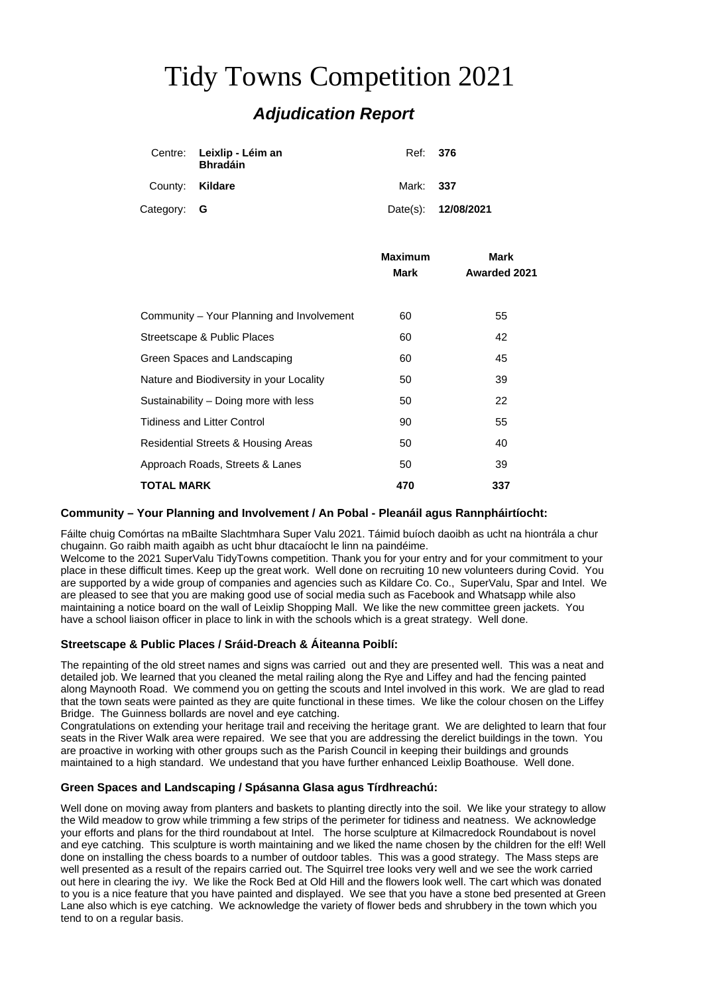# Tidy Towns Competition 2021 *Adjudication Report*

|                 | Centre: Leixlip - Léim an<br><b>Bhradáin</b> | Ref: 376  |                     |
|-----------------|----------------------------------------------|-----------|---------------------|
| County: Kildare |                                              | Mark: 337 |                     |
| Category: G     |                                              |           | Date(s): 12/08/2021 |

|                                           | <b>Maximum</b> | Mark                |
|-------------------------------------------|----------------|---------------------|
|                                           | <b>Mark</b>    | <b>Awarded 2021</b> |
|                                           |                |                     |
| Community – Your Planning and Involvement | 60             | 55                  |
| Streetscape & Public Places               | 60             | 42                  |
| Green Spaces and Landscaping              | 60             | 45                  |
| Nature and Biodiversity in your Locality  | 50             | 39                  |
| Sustainability - Doing more with less     | 50             | 22                  |
| <b>Tidiness and Litter Control</b>        | 90             | 55                  |
| Residential Streets & Housing Areas       | 50             | 40                  |
| Approach Roads, Streets & Lanes           | 50             | 39                  |
| <b>TOTAL MARK</b>                         | 470            | 337                 |

# **Community – Your Planning and Involvement / An Pobal - Pleanáil agus Rannpháirtíocht:**

Fáilte chuig Comórtas na mBailte Slachtmhara Super Valu 2021. Táimid buíoch daoibh as ucht na hiontrála a chur chugainn. Go raibh maith agaibh as ucht bhur dtacaíocht le linn na paindéime.

Welcome to the 2021 SuperValu TidyTowns competition. Thank you for your entry and for your commitment to your place in these difficult times. Keep up the great work. Well done on recruiting 10 new volunteers during Covid. You are supported by a wide group of companies and agencies such as Kildare Co. Co., SuperValu, Spar and Intel. We are pleased to see that you are making good use of social media such as Facebook and Whatsapp while also maintaining a notice board on the wall of Leixlip Shopping Mall. We like the new committee green jackets. You have a school liaison officer in place to link in with the schools which is a great strategy. Well done.

# **Streetscape & Public Places / Sráid-Dreach & Áiteanna Poiblí:**

The repainting of the old street names and signs was carried out and they are presented well. This was a neat and detailed job. We learned that you cleaned the metal railing along the Rye and Liffey and had the fencing painted along Maynooth Road. We commend you on getting the scouts and Intel involved in this work. We are glad to read that the town seats were painted as they are quite functional in these times. We like the colour chosen on the Liffey Bridge. The Guinness bollards are novel and eye catching.

Congratulations on extending your heritage trail and receiving the heritage grant. We are delighted to learn that four seats in the River Walk area were repaired. We see that you are addressing the derelict buildings in the town. You are proactive in working with other groups such as the Parish Council in keeping their buildings and grounds maintained to a high standard. We undestand that you have further enhanced Leixlip Boathouse. Well done.

# **Green Spaces and Landscaping / Spásanna Glasa agus Tírdhreachú:**

Well done on moving away from planters and baskets to planting directly into the soil. We like your strategy to allow the Wild meadow to grow while trimming a few strips of the perimeter for tidiness and neatness. We acknowledge your efforts and plans for the third roundabout at Intel. The horse sculpture at Kilmacredock Roundabout is novel and eye catching. This sculpture is worth maintaining and we liked the name chosen by the children for the elf! Well done on installing the chess boards to a number of outdoor tables. This was a good strategy. The Mass steps are well presented as a result of the repairs carried out. The Squirrel tree looks very well and we see the work carried out here in clearing the ivy. We like the Rock Bed at Old Hill and the flowers look well. The cart which was donated to you is a nice feature that you have painted and displayed. We see that you have a stone bed presented at Green Lane also which is eye catching. We acknowledge the variety of flower beds and shrubbery in the town which you tend to on a regular basis.